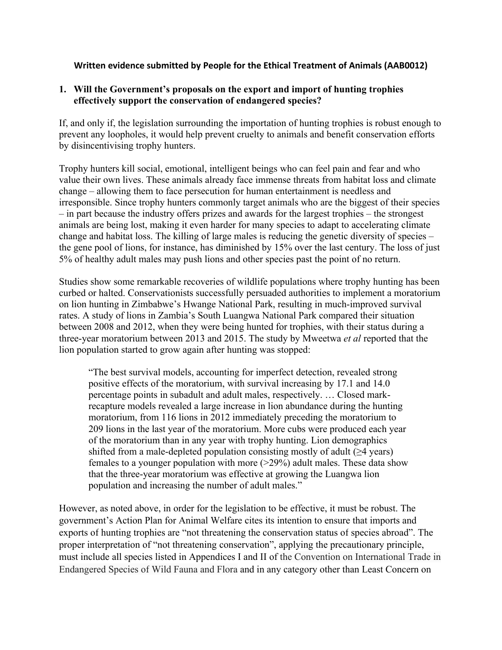# **Written evidence submitted by People for the Ethical Treatment of Animals (AAB0012)**

### **1. Will the Government's proposals on the export and import of hunting trophies effectively support the conservation of endangered species?**

If, and only if, the legislation surrounding the importation of hunting trophies is robust enough to prevent any loopholes, it would help prevent cruelty to animals and benefit conservation efforts by disincentivising trophy hunters.

Trophy hunters kill social, emotional, intelligent beings who can feel pain and fear and who value their own lives. These animals already face immense threats from habitat loss and climate change – allowing them to face persecution for human entertainment is needless and irresponsible. Since trophy hunters commonly target animals who are the biggest of their species – in part because the industry offers prizes and awards for the largest trophies – the strongest animals are being lost, making it even harder for many species to adapt to accelerating climate change and habitat loss. The killing of large males is reducing the genetic diversity of species – the gene pool of lions, for instance, has diminished by 15% over the last century. The loss of just 5% of healthy adult males may push lions and other species past the point of no return.

Studies show some remarkable recoveries of wildlife populations where trophy hunting has been curbed or halted. Conservationists successfully persuaded authorities to implement a moratorium on lion hunting in Zimbabwe's Hwange National Park, resulting in much-improved survival rates. A study of lions in Zambia's South Luangwa National Park compared their situation between 2008 and 2012, when they were being hunted for trophies, with their status during a three-year moratorium between 2013 and 2015. The study by Mweetwa *et al* reported that the lion population started to grow again after hunting was stopped:

"The best survival models, accounting for imperfect detection, revealed strong positive effects of the moratorium, with survival increasing by 17.1 and 14.0 percentage points in subadult and adult males, respectively. … Closed markrecapture models revealed a large increase in lion abundance during the hunting moratorium, from 116 lions in 2012 immediately preceding the moratorium to 209 lions in the last year of the moratorium. More cubs were produced each year of the moratorium than in any year with trophy hunting. Lion demographics shifted from a male-depleted population consisting mostly of adult  $(\geq 4$  years) females to a younger population with more (>29%) adult males. These data show that the three-year moratorium was effective at growing the Luangwa lion population and increasing the number of adult males."

However, as noted above, in order for the legislation to be effective, it must be robust. The government's Action Plan for Animal Welfare cites its intention to ensure that imports and exports of hunting trophies are "not threatening the conservation status of species abroad". The proper interpretation of "not threatening conservation", applying the precautionary principle, must include all species listed in Appendices I and II of the Convention on International Trade in Endangered Species of Wild Fauna and Flora and in any category other than Least Concern on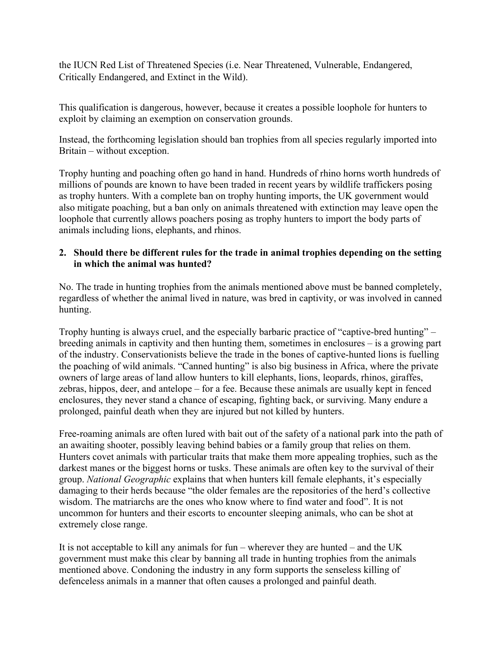the IUCN Red List of Threatened Species (i.e. Near Threatened, Vulnerable, Endangered, Critically Endangered, and Extinct in the Wild).

This qualification is dangerous, however, because it creates a possible loophole for hunters to exploit by claiming an exemption on conservation grounds.

Instead, the forthcoming legislation should ban trophies from all species regularly imported into Britain – without exception.

Trophy hunting and poaching often go hand in hand. Hundreds of rhino horns worth hundreds of millions of pounds are known to have been traded in recent years by wildlife traffickers posing as trophy hunters. With a complete ban on trophy hunting imports, the UK government would also mitigate poaching, but a ban only on animals threatened with extinction may leave open the loophole that currently allows poachers posing as trophy hunters to import the body parts of animals including lions, elephants, and rhinos.

# **2. Should there be different rules for the trade in animal trophies depending on the setting in which the animal was hunted?**

No. The trade in hunting trophies from the animals mentioned above must be banned completely, regardless of whether the animal lived in nature, was bred in captivity, or was involved in canned hunting.

Trophy hunting is always cruel, and the especially barbaric practice of "captive-bred hunting" – breeding animals in captivity and then hunting them, sometimes in enclosures – is a growing part of the industry. Conservationists believe the trade in the bones of captive-hunted lions is fuelling the poaching of wild animals. "Canned hunting" is also big business in Africa, where the private owners of large areas of land allow hunters to kill elephants, lions, leopards, rhinos, giraffes, zebras, hippos, deer, and antelope – for a fee. Because these animals are usually kept in fenced enclosures, they never stand a chance of escaping, fighting back, or surviving. Many endure a prolonged, painful death when they are injured but not killed by hunters.

Free-roaming animals are often lured with bait out of the safety of a national park into the path of an awaiting shooter, possibly leaving behind babies or a family group that relies on them. Hunters covet animals with particular traits that make them more appealing trophies, such as the darkest manes or the biggest horns or tusks. These animals are often key to the survival of their group. *National Geographic* explains that when hunters kill female elephants, it's especially damaging to their herds because "the older females are the repositories of the herd's collective wisdom. The matriarchs are the ones who know where to find water and food". It is not uncommon for hunters and their escorts to encounter sleeping animals, who can be shot at extremely close range.

It is not acceptable to kill any animals for fun – wherever they are hunted – and the UK government must make this clear by banning all trade in hunting trophies from the animals mentioned above. Condoning the industry in any form supports the senseless killing of defenceless animals in a manner that often causes a prolonged and painful death.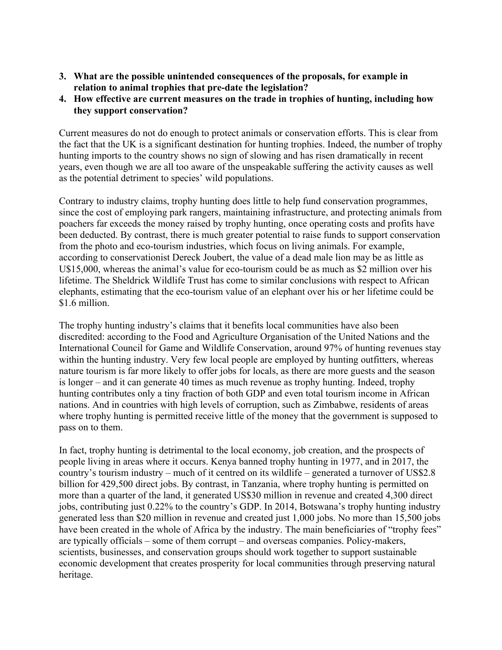- **3. What are the possible unintended consequences of the proposals, for example in relation to animal trophies that pre-date the legislation?**
- **4. How effective are current measures on the trade in trophies of hunting, including how they support conservation?**

Current measures do not do enough to protect animals or conservation efforts. This is clear from the fact that the UK is a significant destination for hunting trophies. Indeed, the number of trophy hunting imports to the country shows no sign of slowing and has risen dramatically in recent years, even though we are all too aware of the unspeakable suffering the activity causes as well as the potential detriment to species' wild populations.

Contrary to industry claims, trophy hunting does little to help fund conservation programmes, since the cost of employing park rangers, maintaining infrastructure, and protecting animals from poachers far exceeds the money raised by trophy hunting, once operating costs and profits have been deducted. By contrast, there is much greater potential to raise funds to support conservation from the photo and eco-tourism industries, which focus on living animals. For example, according to conservationist Dereck Joubert, the value of a dead male lion may be as little as U\$15,000, whereas the animal's value for eco-tourism could be as much as \$2 million over his lifetime. The Sheldrick Wildlife Trust has come to similar conclusions with respect to African elephants, estimating that the eco-tourism value of an elephant over his or her lifetime could be \$1.6 million.

The trophy hunting industry's claims that it benefits local communities have also been discredited: according to the Food and Agriculture Organisation of the United Nations and the International Council for Game and Wildlife Conservation, around 97% of hunting revenues stay within the hunting industry. Very few local people are employed by hunting outfitters, whereas nature tourism is far more likely to offer jobs for locals, as there are more guests and the season is longer – and it can generate 40 times as much revenue as trophy hunting. Indeed, trophy hunting contributes only a tiny fraction of both GDP and even total tourism income in African nations. And in countries with high levels of corruption, such as Zimbabwe, residents of areas where trophy hunting is permitted receive little of the money that the government is supposed to pass on to them.

In fact, trophy hunting is detrimental to the local economy, job creation, and the prospects of people living in areas where it occurs. Kenya banned trophy hunting in 1977, and in 2017, the country's tourism industry – much of it centred on its wildlife – generated a turnover of US\$2.8 billion for 429,500 direct jobs. By contrast, in Tanzania, where trophy hunting is permitted on more than a quarter of the land, it generated US\$30 million in revenue and created 4,300 direct jobs, contributing just 0.22% to the country's GDP. In 2014, Botswana's trophy hunting industry generated less than \$20 million in revenue and created just 1,000 jobs. No more than 15,500 jobs have been created in the whole of Africa by the industry. The main beneficiaries of "trophy fees" are typically officials – some of them corrupt – and overseas companies. Policy-makers, scientists, businesses, and conservation groups should work together to support sustainable economic development that creates prosperity for local communities through preserving natural heritage.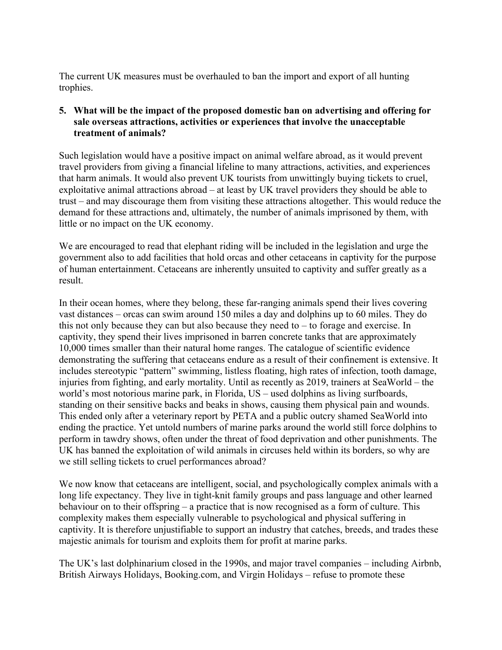The current UK measures must be overhauled to ban the import and export of all hunting trophies.

# **5. What will be the impact of the proposed domestic ban on advertising and offering for sale overseas attractions, activities or experiences that involve the unacceptable treatment of animals?**

Such legislation would have a positive impact on animal welfare abroad, as it would prevent travel providers from giving a financial lifeline to many attractions, activities, and experiences that harm animals. It would also prevent UK tourists from unwittingly buying tickets to cruel, exploitative animal attractions abroad – at least by UK travel providers they should be able to trust – and may discourage them from visiting these attractions altogether. This would reduce the demand for these attractions and, ultimately, the number of animals imprisoned by them, with little or no impact on the UK economy.

We are encouraged to read that elephant riding will be included in the legislation and urge the government also to add facilities that hold orcas and other cetaceans in captivity for the purpose of human entertainment. Cetaceans are inherently unsuited to captivity and suffer greatly as a result.

In their ocean homes, where they belong, these far-ranging animals spend their lives covering vast distances – orcas can swim around 150 miles a day and dolphins up to 60 miles. They do this not only because they can but also because they need to  $-$  to forage and exercise. In captivity, they spend their lives imprisoned in barren concrete tanks that are approximately 10,000 times smaller than their natural home ranges. The catalogue of scientific evidence demonstrating the suffering that cetaceans endure as a result of their confinement is extensive. It includes stereotypic "pattern" swimming, listless floating, high rates of infection, tooth damage, injuries from fighting, and early mortality. Until as recently as 2019, trainers at SeaWorld – the world's most notorious marine park, in Florida, US – used dolphins as living surfboards, standing on their sensitive backs and beaks in shows, causing them physical pain and wounds. This ended only after a veterinary report by PETA and a public outcry shamed SeaWorld into ending the practice. Yet untold numbers of marine parks around the world still force dolphins to perform in tawdry shows, often under the threat of food deprivation and other punishments. The UK has banned the exploitation of wild animals in circuses held within its borders, so why are we still selling tickets to cruel performances abroad?

We now know that cetaceans are intelligent, social, and psychologically complex animals with a long life expectancy. They live in tight-knit family groups and pass language and other learned behaviour on to their offspring – a practice that is now recognised as a form of culture. This complexity makes them especially vulnerable to psychological and physical suffering in captivity. It is therefore unjustifiable to support an industry that catches, breeds, and trades these majestic animals for tourism and exploits them for profit at marine parks.

The UK's last dolphinarium closed in the 1990s, and major travel companies – including Airbnb, British Airways Holidays, Booking.com, and Virgin Holidays – refuse to promote these